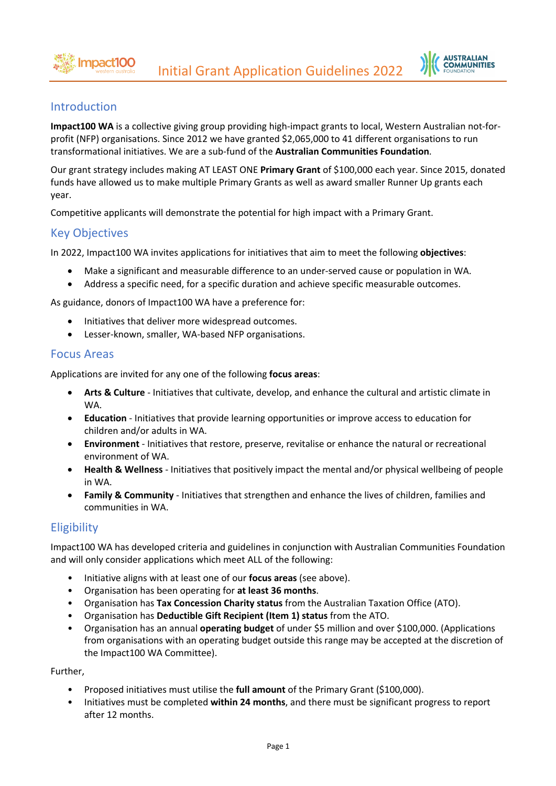

## Introduction

**Impact100 WA** is a collective giving group providing high-impact grants to local, Western Australian not-forprofit (NFP) organisations. Since 2012 we have granted \$2,065,000 to 41 different organisations to run transformational initiatives. We are a sub-fund of the **Australian Communities Foundation**.

Our grant strategy includes making AT LEAST ONE **Primary Grant** of \$100,000 each year. Since 2015, donated funds have allowed us to make multiple Primary Grants as well as award smaller Runner Up grants each year.

Competitive applicants will demonstrate the potential for high impact with a Primary Grant.

## Key Objectives

In 2022, Impact100 WA invites applications for initiatives that aim to meet the following **objectives**:

- Make a significant and measurable difference to an under-served cause or population in WA.
- Address a specific need, for a specific duration and achieve specific measurable outcomes.

As guidance, donors of Impact100 WA have a preference for:

- Initiatives that deliver more widespread outcomes.
- Lesser-known, smaller, WA-based NFP organisations.

## Focus Areas

Applications are invited for any one of the following **focus areas**:

- **Arts & Culture** Initiatives that cultivate, develop, and enhance the cultural and artistic climate in WA.
- **Education** Initiatives that provide learning opportunities or improve access to education for children and/or adults in WA.
- **Environment** Initiatives that restore, preserve, revitalise or enhance the natural or recreational environment of WA.
- **Health & Wellness** Initiatives that positively impact the mental and/or physical wellbeing of people in WA.
- **Family & Community** Initiatives that strengthen and enhance the lives of children, families and communities in WA.

# **Eligibility**

Impact100 WA has developed criteria and guidelines in conjunction with Australian Communities Foundation and will only consider applications which meet ALL of the following:

- Initiative aligns with at least one of our **focus areas** (see above).
- Organisation has been operating for **at least 36 months**.
- Organisation has **Tax Concession Charity status** from the Australian Taxation Office (ATO).
- Organisation has **Deductible Gift Recipient (Item 1) status** from the ATO.
- Organisation has an annual **operating budget** of under \$5 million and over \$100,000. (Applications from organisations with an operating budget outside this range may be accepted at the discretion of the Impact100 WA Committee).

Further,

- Proposed initiatives must utilise the **full amount** of the Primary Grant (\$100,000).
- Initiatives must be completed **within 24 months**, and there must be significant progress to report after 12 months.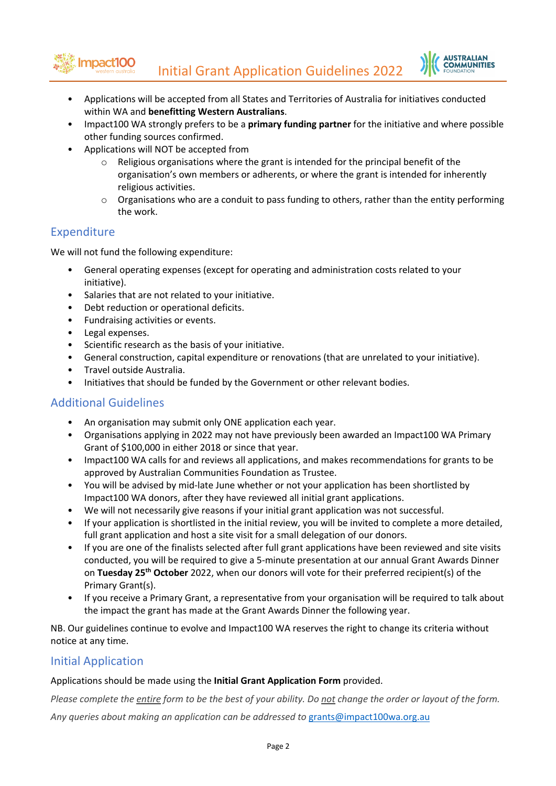Initial Grant Application Guidelines 2022



- Applications will be accepted from all States and Territories of Australia for initiatives conducted within WA and **benefitting Western Australians**.
- Impact100 WA strongly prefers to be a **primary funding partner** for the initiative and where possible other funding sources confirmed.
- Applications will NOT be accepted from
	- $\circ$  Religious organisations where the grant is intended for the principal benefit of the organisation's own members or adherents, or where the grant is intended for inherently religious activities.
	- $\circ$  Organisations who are a conduit to pass funding to others, rather than the entity performing the work.

## Expenditure

We will not fund the following expenditure:

- General operating expenses (except for operating and administration costs related to your initiative).
- Salaries that are not related to your initiative.
- Debt reduction or operational deficits.
- Fundraising activities or events.
- Legal expenses.

mpact100

- Scientific research as the basis of your initiative.
- General construction, capital expenditure or renovations (that are unrelated to your initiative).
- Travel outside Australia.
- Initiatives that should be funded by the Government or other relevant bodies.

## Additional Guidelines

- An organisation may submit only ONE application each year.
- Organisations applying in 2022 may not have previously been awarded an Impact100 WA Primary Grant of \$100,000 in either 2018 or since that year.
- Impact100 WA calls for and reviews all applications, and makes recommendations for grants to be approved by Australian Communities Foundation as Trustee.
- You will be advised by mid-late June whether or not your application has been shortlisted by Impact100 WA donors, after they have reviewed all initial grant applications.
- We will not necessarily give reasons if your initial grant application was not successful.
- If your application is shortlisted in the initial review, you will be invited to complete a more detailed, full grant application and host a site visit for a small delegation of our donors.
- If you are one of the finalists selected after full grant applications have been reviewed and site visits conducted, you will be required to give a 5-minute presentation at our annual Grant Awards Dinner on **Tuesday 25th October** 2022, when our donors will vote for their preferred recipient(s) of the Primary Grant(s).
- If you receive a Primary Grant, a representative from your organisation will be required to talk about the impact the grant has made at the Grant Awards Dinner the following year.

NB. Our guidelines continue to evolve and Impact100 WA reserves the right to change its criteria without notice at any time.

## Initial Application

#### Applications should be made using the **Initial Grant Application Form** provided.

*Please complete the entire form to be the best of your ability. Do not change the order or layout of the form.*

*Any queries about making an application can be addressed to* grants@impact100wa.org.au